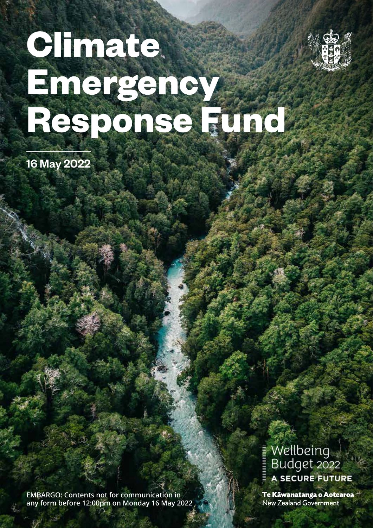

# **Climate Emergency Response Fund**

16 May 2022

**EMBARGO: Contents not for communication in any form before 12:00pm on Monday 16 May 2022** Wellbeing<br>Budget 2022 A SECURE FUTURE

Te Kāwanatanga o Aotearoa **New Zealand Government**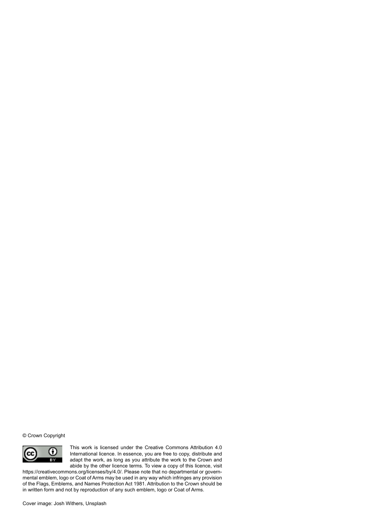© Crown Copyright



This work is licensed under the Creative Commons Attribution 4.0 International licence. In essence, you are free to copy, distribute and adapt the work, as long as you attribute the work to the Crown and abide by the other licence terms. To view a copy of this licence, visit

https://creativecommons.org/licenses/by/4.0/. Please note that no departmental or governmental emblem, logo or Coat of Arms may be used in any way which infringes any provision of the Flags, Emblems, and Names Protection Act 1981. Attribution to the Crown should be in written form and not by reproduction of any such emblem, logo or Coat of Arms.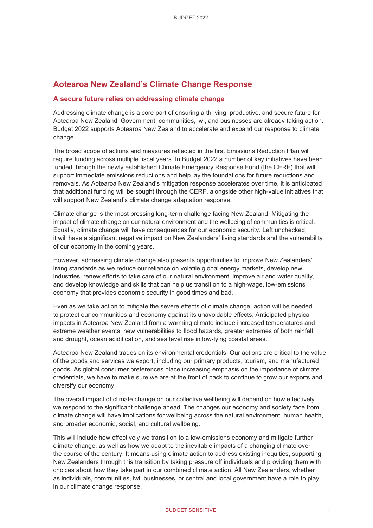# **Aotearoa New Zealand's Climate Change Response**

# **A secure future relies on addressing climate change**

Addressing climate change is a core part of ensuring a thriving, productive, and secure future for Aotearoa New Zealand. Government, communities, iwi, and businesses are already taking action. Budget 2022 supports Aotearoa New Zealand to accelerate and expand our response to climate change.

The broad scope of actions and measures reflected in the first Emissions Reduction Plan will require funding across multiple fiscal years. In Budget 2022 a number of key initiatives have been funded through the newly established Climate Emergency Response Fund (the CERF) that will support immediate emissions reductions and help lay the foundations for future reductions and removals. As Aotearoa New Zealand's mitigation response accelerates over time, it is anticipated that additional funding will be sought through the CERF, alongside other high-value initiatives that will support New Zealand's climate change adaptation response.

Climate change is the most pressing long-term challenge facing New Zealand. Mitigating the impact of climate change on our natural environment and the wellbeing of communities is critical. Equally, climate change will have consequences for our economic security. Left unchecked, it will have a significant negative impact on New Zealanders' living standards and the vulnerability of our economy in the coming years.

However, addressing climate change also presents opportunities to improve New Zealanders' living standards as we reduce our reliance on volatile global energy markets, develop new industries, renew efforts to take care of our natural environment, improve air and water quality, and develop knowledge and skills that can help us transition to a high-wage, low-emissions economy that provides economic security in good times and bad.

Even as we take action to mitigate the severe effects of climate change, action will be needed to protect our communities and economy against its unavoidable effects. Anticipated physical impacts in Aotearoa New Zealand from a warming climate include increased temperatures and extreme weather events, new vulnerabilities to flood hazards, greater extremes of both rainfall and drought, ocean acidification, and sea level rise in low-lying coastal areas.

Aotearoa New Zealand trades on its environmental credentials. Our actions are critical to the value of the goods and services we export, including our primary products, tourism, and manufactured goods. As global consumer preferences place increasing emphasis on the importance of climate credentials, we have to make sure we are at the front of pack to continue to grow our exports and diversify our economy.

The overall impact of climate change on our collective wellbeing will depend on how effectively we respond to the significant challenge ahead. The changes our economy and society face from climate change will have implications for wellbeing across the natural environment, human health, and broader economic, social, and cultural wellbeing.

This will include how effectively we transition to a low-emissions economy and mitigate further climate change, as well as how we adapt to the inevitable impacts of a changing climate over the course of the century. It means using climate action to address existing inequities, supporting New Zealanders through this transition by taking pressure off individuals and providing them with choices about how they take part in our combined climate action. All New Zealanders, whether as individuals, communities, iwi, businesses, or central and local government have a role to play in our climate change response.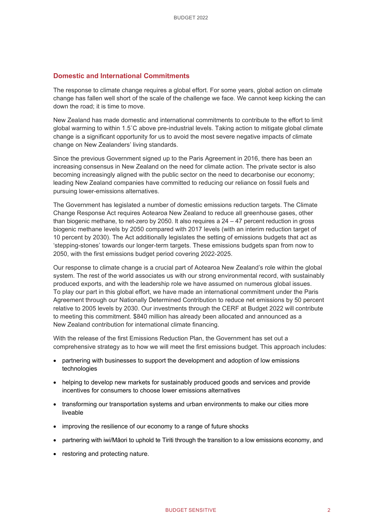# **Domestic and International Commitments**

The response to climate change requires a global effort. For some years, global action on climate change has fallen well short of the scale of the challenge we face. We cannot keep kicking the can down the road; it is time to move.

New Zealand has made domestic and international commitments to contribute to the effort to limit global warming to within 1.5˚C above pre-industrial levels. Taking action to mitigate global climate change is a significant opportunity for us to avoid the most severe negative impacts of climate change on New Zealanders' living standards.

Since the previous Government signed up to the Paris Agreement in 2016, there has been an increasing consensus in New Zealand on the need for climate action. The private sector is also becoming increasingly aligned with the public sector on the need to decarbonise our economy; leading New Zealand companies have committed to reducing our reliance on fossil fuels and pursuing lower-emissions alternatives.

The Government has legislated a number of domestic emissions reduction targets. The Climate Change Response Act requires Aotearoa New Zealand to reduce all greenhouse gases, other than biogenic methane, to net-zero by 2050. It also requires a  $24 - 47$  percent reduction in gross biogenic methane levels by 2050 compared with 2017 levels (with an interim reduction target of 10 percent by 2030). The Act additionally legislates the setting of emissions budgets that act as 'stepping-stones' towards our longer-term targets. These emissions budgets span from now to 2050, with the first emissions budget period covering 2022-2025.

Our response to climate change is a crucial part of Aotearoa New Zealand's role within the global system. The rest of the world associates us with our strong environmental record, with sustainably produced exports, and with the leadership role we have assumed on numerous global issues. To play our part in this global effort, we have made an international commitment under the Paris Agreement through our Nationally Determined Contribution to reduce net emissions by 50 percent relative to 2005 levels by 2030. Our investments through the CERF at Budget 2022 will contribute to meeting this commitment. \$840 million has already been allocated and announced as a New Zealand contribution for international climate financing.

With the release of the first Emissions Reduction Plan, the Government has set out a comprehensive strategy as to how we will meet the first emissions budget. This approach includes:

- partnering with businesses to support the development and adoption of low emissions technologies
- helping to develop new markets for sustainably produced goods and services and provide incentives for consumers to choose lower emissions alternatives
- transforming our transportation systems and urban environments to make our cities more liveable
- improving the resilience of our economy to a range of future shocks
- partnering with iwi/Māori to uphold te Tiriti through the transition to a low emissions economy, and
- restoring and protecting nature.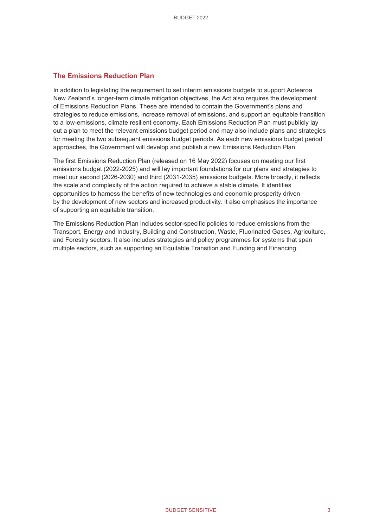# **The Emissions Reduction Plan**

In addition to legislating the requirement to set interim emissions budgets to support Aotearoa New Zealand's longer-term climate mitigation objectives, the Act also requires the development of Emissions Reduction Plans. These are intended to contain the Government's plans and strategies to reduce emissions, increase removal of emissions, and support an equitable transition to a low-emissions, climate resilient economy. Each Emissions Reduction Plan must publicly lay out a plan to meet the relevant emissions budget period and may also include plans and strategies for meeting the two subsequent emissions budget periods. As each new emissions budget period approaches, the Government will develop and publish a new Emissions Reduction Plan.

The first Emissions Reduction Plan (released on 16 May 2022) focuses on meeting our first emissions budget (2022-2025) and will lay important foundations for our plans and strategies to meet our second (2026-2030) and third (2031-2035) emissions budgets. More broadly, it reflects the scale and complexity of the action required to achieve a stable climate. It identifies opportunities to harness the benefits of new technologies and economic prosperity driven by the development of new sectors and increased productivity. It also emphasises the importance of supporting an equitable transition.

The Emissions Reduction Plan includes sector-specific policies to reduce emissions from the Transport, Energy and Industry, Building and Construction, Waste, Fluorinated Gases, Agriculture, and Forestry sectors. It also includes strategies and policy programmes for systems that span multiple sectors, such as supporting an Equitable Transition and Funding and Financing.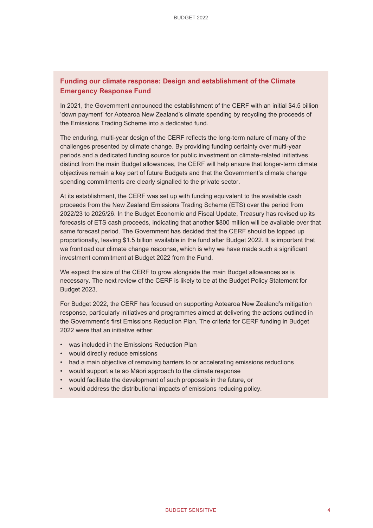# **Funding our climate response: Design and establishment of the Climate Emergency Response Fund**

In 2021, the Government announced the establishment of the CERF with an initial \$4.5 billion 'down payment' for Aotearoa New Zealand's climate spending by recycling the proceeds of the Emissions Trading Scheme into a dedicated fund.

The enduring, multi-year design of the CERF reflects the long-term nature of many of the challenges presented by climate change. By providing funding certainty over multi-year periods and a dedicated funding source for public investment on climate-related initiatives distinct from the main Budget allowances, the CERF will help ensure that longer-term climate objectives remain a key part of future Budgets and that the Government's climate change spending commitments are clearly signalled to the private sector.

At its establishment, the CERF was set up with funding equivalent to the available cash proceeds from the New Zealand Emissions Trading Scheme (ETS) over the period from 2022/23 to 2025/26. In the Budget Economic and Fiscal Update, Treasury has revised up its forecasts of ETS cash proceeds, indicating that another \$800 million will be available over that same forecast period. The Government has decided that the CERF should be topped up proportionally, leaving \$1.5 billion available in the fund after Budget 2022. It is important that we frontload our climate change response, which is why we have made such a significant investment commitment at Budget 2022 from the Fund.

We expect the size of the CERF to grow alongside the main Budget allowances as is necessary. The next review of the CERF is likely to be at the Budget Policy Statement for Budget 2023.

For Budget 2022, the CERF has focused on supporting Aotearoa New Zealand's mitigation response, particularly initiatives and programmes aimed at delivering the actions outlined in the Government's first Emissions Reduction Plan. The criteria for CERF funding in Budget 2022 were that an initiative either:

- was included in the Emissions Reduction Plan
- would directly reduce emissions
- had a main objective of removing barriers to or accelerating emissions reductions
- would support a te ao Māori approach to the climate response
- would facilitate the development of such proposals in the future, or
- would address the distributional impacts of emissions reducing policy.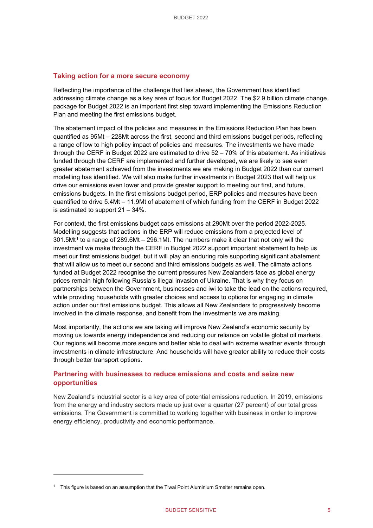# **Taking action for a more secure economy**

Reflecting the importance of the challenge that lies ahead, the Government has identified addressing climate change as a key area of focus for Budget 2022. The \$2.9 billion climate change package for Budget 2022 is an important first step toward implementing the Emissions Reduction Plan and meeting the first emissions budget.

The abatement impact of the policies and measures in the Emissions Reduction Plan has been quantified as 95Mt – 228Mt across the first, second and third emissions budget periods, reflecting a range of low to high policy impact of policies and measures. The investments we have made through the CERF in Budget 2022 are estimated to drive 52 – 70% of this abatement. As initiatives funded through the CERF are implemented and further developed, we are likely to see even greater abatement achieved from the investments we are making in Budget 2022 than our current modelling has identified. We will also make further investments in Budget 2023 that will help us drive our emissions even lower and provide greater support to meeting our first, and future, emissions budgets. In the first emissions budget period, ERP policies and measures have been quantified to drive 5.4Mt – 11.9Mt of abatement of which funding from the CERF in Budget 2022 is estimated to support 21 – 34%.

For context, the first emissions budget caps emissions at 290Mt over the period 2022-2025. Modelling suggests that actions in the ERP will reduce emissions from a projected level of  $301.5$ Mt<sup>1</sup> to a range of 289.6Mt – 296.1Mt. The numbers make it clear that not only will the investment we make through the CERF in Budget 2022 support important abatement to help us meet our first emissions budget, but it will play an enduring role supporting significant abatement that will allow us to meet our second and third emissions budgets as well. The climate actions funded at Budget 2022 recognise the current pressures New Zealanders face as global energy prices remain high following Russia's illegal invasion of Ukraine. That is why they focus on partnerships between the Government, businesses and iwi to take the lead on the actions required, while providing households with greater choices and access to options for engaging in climate action under our first emissions budget. This allows all New Zealanders to progressively become involved in the climate response, and benefit from the investments we are making.

Most importantly, the actions we are taking will improve New Zealand's economic security by moving us towards energy independence and reducing our reliance on volatile global oil markets. Our regions will become more secure and better able to deal with extreme weather events through investments in climate infrastructure. And households will have greater ability to reduce their costs through better transport options.

# **Partnering with businesses to reduce emissions and costs and seize new opportunities**

New Zealand's industrial sector is a key area of potential emissions reduction. In 2019, emissions from the energy and industry sectors made up just over a quarter (27 percent) of our total gross emissions. The Government is committed to working together with business in order to improve energy efficiency, productivity and economic performance.

<sup>&</sup>lt;sup>1</sup> This figure is based on an assumption that the Tiwai Point Aluminium Smelter remains open.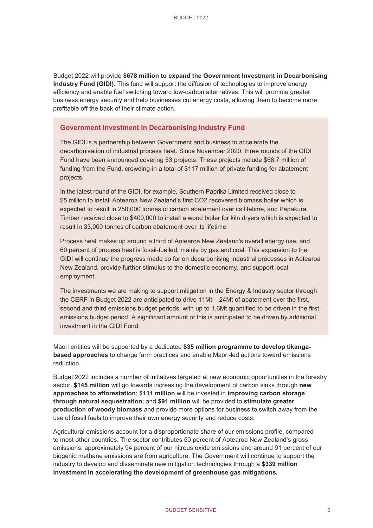Budget 2022 will provide **\$678 million to expand the Government Investment in Decarbonising Industry Fund (GIDI)**. This fund will support the diffusion of technologies to improve energy efficiency and enable fuel switching toward low-carbon alternatives. This will promote greater business energy security and help businesses cut energy costs, allowing them to become more profitable off the back of their climate action.

# **Government Investment in Decarbonising Industry Fund**

The GIDI is a partnership between Government and business to accelerate the decarbonisation of industrial process heat. Since November 2020, three rounds of the GIDI Fund have been announced covering 53 projects. These projects include \$68.7 million of funding from the Fund, crowding-in a total of \$117 million of private funding for abatement projects.

In the latest round of the GIDI, for example, Southern Paprika Limited received close to \$5 million to install Aotearoa New Zealand's first CO2 recovered biomass boiler which is expected to result in 250,000 tonnes of carbon abatement over its lifetime, and Papakura Timber received close to \$400,000 to install a wood boiler for kiln dryers which is expected to result in 33,000 tonnes of carbon abatement over its lifetime.

Process heat makes up around a third of Aotearoa New Zealand's overall energy use, and 60 percent of process heat is fossil-fuelled, mainly by gas and coal. This expansion to the GIDI will continue the progress made so far on decarbonising industrial processes in Aotearoa New Zealand, provide further stimulus to the domestic economy, and support local employment.

The investments we are making to support mitigation in the Energy & Industry sector through the CERF in Budget 2022 are anticipated to drive 11Mt – 24Mt of abatement over the first, second and third emissions budget periods, with up to 1.6Mt quantified to be driven in the first emissions budget period. A significant amount of this is anticipated to be driven by additional investment in the GIDI Fund.

Māori entities will be supported by a dedicated **\$35 million programme to develop tikangabased approaches** to change farm practices and enable Māori-led actions toward emissions reduction.

Budget 2022 includes a number of initiatives targeted at new economic opportunities in the forestry sector. **\$145 million** will go towards increasing the development of carbon sinks through **new approaches to afforestation**; **\$111 million** will be invested in **improving carbon storage through natural sequestration**; and **\$91 million** will be provided to **stimulate greater production of woody biomass** and provide more options for business to switch away from the use of fossil fuels to improve their own energy security and reduce costs.

Agricultural emissions account for a disproportionate share of our emissions profile, compared to most other countries. The sector contributes 50 percent of Aotearoa New Zealand's gross emissions; approximately 94 percent of our nitrous oxide emissions and around 91 percent of our biogenic methane emissions are from agriculture. The Government will continue to support the industry to develop and disseminate new mitigation technologies through a **\$339 million investment in accelerating the development of greenhouse gas mitigations.**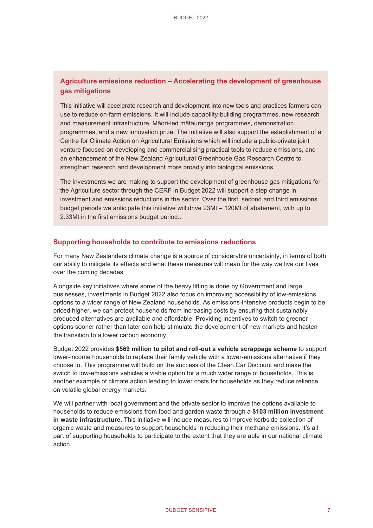# **Agriculture emissions reduction – Accelerating the development of greenhouse gas mitigations**

This initiative will accelerate research and development into new tools and practices farmers can use to reduce on-farm emissions. It will include capability-building programmes, new research and measurement infrastructure, Māori-led mātauranga programmes, demonstration programmes, and a new innovation prize. The initiative will also support the establishment of a Centre for Climate Action on Agricultural Emissions which will include a public-private joint venture focused on developing and commercialising practical tools to reduce emissions, and an enhancement of the New Zealand Agricultural Greenhouse Gas Research Centre to strengthen research and development more broadly into biological emissions.

The investments we are making to support the development of greenhouse gas mitigations for the Agriculture sector through the CERF in Budget 2022 will support a step change in investment and emissions reductions in the sector. Over the first, second and third emissions budget periods we anticipate this initiative will drive 23Mt – 120Mt of abatement, with up to 2.33Mt in the first emissions budget period..

# **Supporting households to contribute to emissions reductions**

For many New Zealanders climate change is a source of considerable uncertainty, in terms of both our ability to mitigate its effects and what these measures will mean for the way we live our lives over the coming decades.

Alongside key initiatives where some of the heavy lifting is done by Government and large businesses, investments in Budget 2022 also focus on improving accessibility of low-emissions options to a wider range of New Zealand households. As emissions-intensive products begin to be priced higher, we can protect households from increasing costs by ensuring that sustainably produced alternatives are available and affordable. Providing incentives to switch to greener options sooner rather than later can help stimulate the development of new markets and hasten the transition to a lower carbon economy.

Budget 2022 provides **\$569 million to pilot and roll-out a vehicle scrappage scheme** to support lower-income households to replace their family vehicle with a lower-emissions alternative if they choose to. This programme will build on the success of the Clean Car Discount and make the switch to low-emissions vehicles a viable option for a much wider range of households. This is another example of climate action leading to lower costs for households as they reduce reliance on volatile global energy markets.

We will partner with local government and the private sector to improve the options available to households to reduce emissions from food and garden waste through a **\$103 million investment in waste infrastructure.** This initiative will include measures to improve kerbside collection of organic waste and measures to support households in reducing their methane emissions. It's all part of supporting households to participate to the extent that they are able in our national climate action.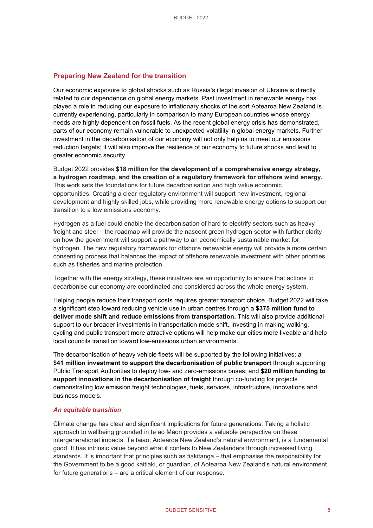# **Preparing New Zealand for the transition**

Our economic exposure to global shocks such as Russia's illegal invasion of Ukraine is directly related to our dependence on global energy markets. Past investment in renewable energy has played a role in reducing our exposure to inflationary shocks of the sort Aotearoa New Zealand is currently experiencing, particularly in comparison to many European countries whose energy needs are highly dependent on fossil fuels. As the recent global energy crisis has demonstrated, parts of our economy remain vulnerable to unexpected volatility in global energy markets. Further investment in the decarbonisation of our economy will not only help us to meet our emissions reduction targets; it will also improve the resilience of our economy to future shocks and lead to greater economic security.

Budget 2022 provides **\$18 million for the development of a comprehensive energy strategy, a hydrogen roadmap, and the creation of a regulatory framework for offshore wind energy.**  This work sets the foundations for future decarbonisation and high value economic opportunities. Creating a clear regulatory environment will support new investment, regional development and highly skilled jobs, while providing more renewable energy options to support our transition to a low emissions economy.

Hydrogen as a fuel could enable the decarbonisation of hard to electrify sectors such as heavy freight and steel – the roadmap will provide the nascent green hydrogen sector with further clarity on how the government will support a pathway to an economically sustainable market for hydrogen. The new regulatory framework for offshore renewable energy will provide a more certain consenting process that balances the impact of offshore renewable investment with other priorities such as fisheries and marine protection.

Together with the energy strategy, these initiatives are an opportunity to ensure that actions to decarbonise our economy are coordinated and considered across the whole energy system.

Helping people reduce their transport costs requires greater transport choice. Budget 2022 will take a significant step toward reducing vehicle use in urban centres through a **\$375 million fund to deliver mode shift and reduce emissions from transportation.** This will also provide additional support to our broader investments in transportation mode shift. Investing in making walking, cycling and public transport more attractive options will help make our cities more liveable and help local councils transition toward low-emissions urban environments.

The decarbonisation of heavy vehicle fleets will be supported by the following initiatives: a **\$41 million investment to support the decarbonisation of public transport** through supporting Public Transport Authorities to deploy low- and zero-emissions buses; and **\$20 million funding to support innovations in the decarbonisation of freight** through co-funding for projects demonstrating low emission freight technologies, fuels, services, infrastructure, innovations and business models.

## *An equitable transition*

Climate change has clear and significant implications for future generations. Taking a holistic approach to wellbeing grounded in te ao Māori provides a valuable perspective on these intergenerational impacts. Te taiao, Aotearoa New Zealand's natural environment, is a fundamental good. It has intrinsic value beyond what it confers to New Zealanders through increased living standards. It is important that principles such as tiakitanga – that emphasise the responsibility for the Government to be a good kaitiaki, or guardian, of Aotearoa New Zealand's natural environment for future generations – are a critical element of our response.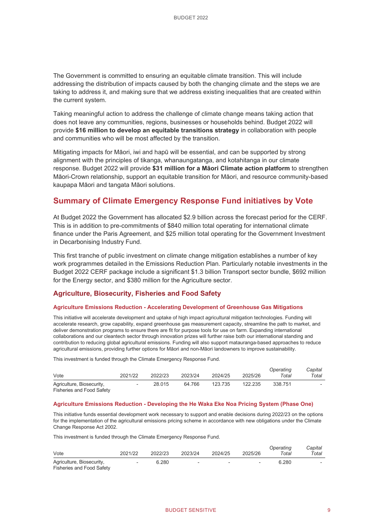The Government is committed to ensuring an equitable climate transition. This will include addressing the distribution of impacts caused by both the changing climate and the steps we are taking to address it, and making sure that we address existing inequalities that are created within the current system.

Taking meaningful action to address the challenge of climate change means taking action that does not leave any communities, regions, businesses or households behind. Budget 2022 will provide **\$16 million to develop an equitable transitions strategy** in collaboration with people and communities who will be most affected by the transition.

Mitigating impacts for Māori, iwi and hapū will be essential, and can be supported by strong alignment with the principles of tikanga, whanaungatanga, and kotahitanga in our climate response. Budget 2022 will provide **\$31 million for a Māori Climate action platform** to strengthen Māori-Crown relationship, support an equitable transition for Māori, and resource community-based kaupapa Māori and tangata Māori solutions.

# **Summary of Climate Emergency Response Fund initiatives by Vote**

At Budget 2022 the Government has allocated \$2.9 billion across the forecast period for the CERF. This is in addition to pre-commitments of \$840 million total operating for international climate finance under the Paris Agreement, and \$25 million total operating for the Government Investment in Decarbonising Industry Fund.

This first tranche of public investment on climate change mitigation establishes a number of key work programmes detailed in the Emissions Reduction Plan. Particularly notable investments in the Budget 2022 CERF package include a significant \$1.3 billion Transport sector bundle, \$692 million for the Energy sector, and \$380 million for the Agriculture sector.

# **Agriculture, Biosecurity, Fisheries and Food Safety**

#### **Agriculture Emissions Reduction - Accelerating Development of Greenhouse Gas Mitigations**

This initiative will accelerate development and uptake of high impact agricultural mitigation technologies. Funding will accelerate research, grow capability, expand greenhouse gas measurement capacity, streamline the path to market, and deliver demonstration programs to ensure there are fit for purpose tools for use on farm. Expanding international collaborations and our cleantech sector through innovation prizes will further raise both our international standing and contribution to reducing global agricultural emissions. Funding will also support matauranga-based approaches to reduce agricultural emissions, providing further options for Māori and non-Māori landowners to improve sustainability.

This investment is funded through the Climate Emergency Response Fund.

| Vote                                                          | 2021/22 | 2022/23 | 2023/24 | 2024/25 | 2025/26 | Operating<br>Total | Capital<br>Total |
|---------------------------------------------------------------|---------|---------|---------|---------|---------|--------------------|------------------|
| Agriculture, Biosecurity,<br><b>Fisheries and Food Safety</b> | $\sim$  | 28.015  | 64.766  | 123.735 | 122.235 | 338.751            |                  |

#### **Agriculture Emissions Reduction - Developing the He Waka Eke Noa Pricing System (Phase One)**

This initiative funds essential development work necessary to support and enable decisions during 2022/23 on the options for the implementation of the agricultural emissions pricing scheme in accordance with new obligations under the Climate Change Response Act 2002.

This investment is funded through the Climate Emergency Response Fund.

| Vote                                                   | 2021/22 | 2022/23 | 2023/24                  | 2024/25                  | 2025/26                  | Operating<br>Total | Capital<br>Total |
|--------------------------------------------------------|---------|---------|--------------------------|--------------------------|--------------------------|--------------------|------------------|
| Agriculture, Biosecurity,<br>Fisheries and Food Safety | $\sim$  | 6.280   | $\overline{\phantom{a}}$ | $\overline{\phantom{a}}$ | $\overline{\phantom{a}}$ | 6.280              |                  |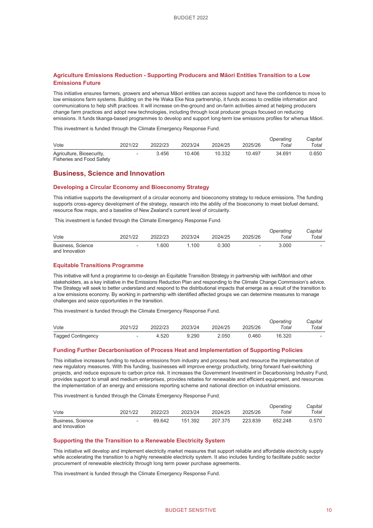## **Agriculture Emissions Reduction - Supporting Producers and Māori Entities Transition to a Low Emissions Future**

This initiative ensures farmers, growers and whenua Māori entities can access support and have the confidence to move to low emissions farm systems. Building on the He Waka Eke Noa partnership, it funds access to credible information and communications to help shift practices. It will increase on-the-ground and on-farm activities aimed at helping producers change farm practices and adopt new technologies, including through local producer groups focused on reducing emissions. It funds tikanga-based programmes to develop and support long-term low emissions profiles for whenua Māori.

This investment is funded through the Climate Emergency Response Fund.

| Vote                                                   | 2021/22 | 2022/23 | 2023/24 | 2024/25 | 2025/26 | Operating<br>Total | Capital<br>Total |
|--------------------------------------------------------|---------|---------|---------|---------|---------|--------------------|------------------|
| Agriculture, Biosecurity,<br>Fisheries and Food Safety | $\sim$  | 3.456   | 10.406  | 10.332  | 10.497  | 34.691             | 0.650            |

## **Business, Science and Innovation**

#### **Developing a Circular Economy and Bioeconomy Strategy**

This initiative supports the development of a circular economy and bioeconomy strategy to reduce emissions. The funding supports cross-agency development of the strategy, research into the ability of the bioeconomy to meet biofuel demand, resource flow maps, and a baseline of New Zealand's current level of circularity.

This investment is funded through the Climate Emergency Response Fund.

| Vote                                | 2021/22 | 2022/23 | 2023/24 | 2024/25 | 2025/26        | Operating<br>Total | Capital<br>Total         |
|-------------------------------------|---------|---------|---------|---------|----------------|--------------------|--------------------------|
| Business, Science<br>and Innovation | $\sim$  | 1.600   | 1.100   | 0.300   | $\overline{a}$ | 3.000              | $\overline{\phantom{a}}$ |

#### **Equitable Transitions Programme**

This initiative will fund a programme to co-design an Equitable Transition Strategy in partnership with iwi/Māori and other stakeholders, as a key initiative in the Emissions Reduction Plan and responding to the Climate Change Commission's advice. The Strategy will seek to better understand and respond to the distributional impacts that emerge as a result of the transition to a low emissions economy. By working in partnership with identified affected groups we can determine measures to manage challenges and seize opportunities in the transition.

This investment is funded through the Climate Emergency Response Fund.

| Vote                      | 2021/22 | 2022/23 | 2023/24 | 2024/25 | 2025/26 | Operating<br>$\tau$ otal | Capital<br>Total         |
|---------------------------|---------|---------|---------|---------|---------|--------------------------|--------------------------|
| <b>Tagged Contingency</b> | $\sim$  | 4.520   | 9.290   | 2.050   | 0.460   | 16.320                   | $\overline{\phantom{a}}$ |

#### **Funding Further Decarbonisation of Process Heat and Implementation of Supporting Policies**

This initiative increases funding to reduce emissions from industry and process heat and resource the implementation of new regulatory measures. With this funding, businesses will improve energy productivity, bring forward fuel-switching projects, and reduce exposure to carbon price risk. It increases the Government Investment in Decarbonising Industry Fund, provides support to small and medium enterprises, provides rebates for renewable and efficient equipment, and resources the implementation of an energy and emissions reporting scheme and national direction on industrial emissions.

This investment is funded through the Climate Emergency Response Fund.

| Vote                                | 2021/22                  | 2022/23 | 2023/24 | 2024/25 | 2025/26 | Operating<br>Total | Capital<br>Total |
|-------------------------------------|--------------------------|---------|---------|---------|---------|--------------------|------------------|
| Business, Science<br>and Innovation | $\overline{\phantom{0}}$ | 69.642  | 151.392 | 207.375 | 223.839 | 652.248            | 0.570            |

#### **Supporting the the Transition to a Renewable Electricity System**

This initiative will develop and implement electricity market measures that support reliable and affordable electricity supply while accelerating the transition to a highly renewable electricity system. It also includes funding to facilitate public sector procurement of renewable electricity through long term power purchase agreements.

This investment is funded through the Climate Emergency Response Fund.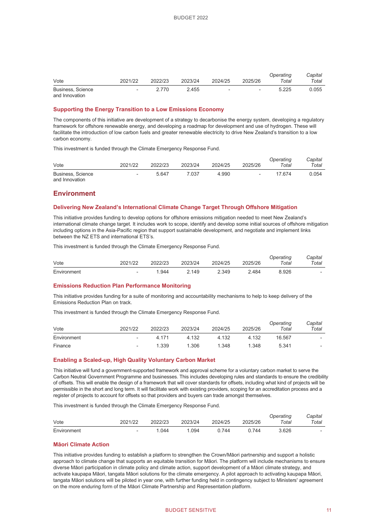| Vote                                | 2021/22 | 2022/23 | 2023/24 | 2024/25                  | 2025/26 | Operating<br>Total | Capital<br>Total |
|-------------------------------------|---------|---------|---------|--------------------------|---------|--------------------|------------------|
| Business, Science<br>and Innovation | $\sim$  | 2.770   | 2.455   | $\overline{\phantom{0}}$ |         | 5.225              | 0.055            |

#### **Supporting the Energy Transition to a Low Emissions Economy**

The components of this initiative are development of a strategy to decarbonise the energy system, developing a regulatory framework for offshore renewable energy, and developing a roadmap for development and use of hydrogen. These will facilitate the introduction of low carbon fuels and greater renewable electricity to drive New Zealand's transition to a low carbon economy.

This investment is funded through the Climate Emergency Response Fund.

| Vote                                | 2021/22                  | 2022/23 | 2023/24 | 2024/25 | 2025/26 | Operating<br>Total | Capital<br>Total |
|-------------------------------------|--------------------------|---------|---------|---------|---------|--------------------|------------------|
| Business, Science<br>and Innovation | $\overline{\phantom{a}}$ | 5.647   | 7.037   | 4.990   |         | 17.674             | 0.054            |

#### **Environment**

#### **Delivering New Zealand's International Climate Change Target Through Offshore Mitigation**

This initiative provides funding to develop options for offshore emissions mitigation needed to meet New Zealand's international climate change target. It includes work to scope, identify and develop some initial sources of offshore mitigation including options in the Asia-Pacific region that support sustainable development, and negotiate and implement links between the NZ ETS and international ETS's.

This investment is funded through the Climate Emergency Response Fund.

| Vote        | 2021/22                  | 2022/23 | 2023/24 | 2024/25 | 2025/26 | Operating<br>$\tau$ otal | Capital<br>Total |
|-------------|--------------------------|---------|---------|---------|---------|--------------------------|------------------|
| Environment | $\overline{\phantom{0}}$ | .944    | 2.149   | 2.349   | ? 484   | 8.926                    |                  |

#### **Emissions Reduction Plan Performance Monitoring**

This initiative provides funding for a suite of monitoring and accountability mechanisms to help to keep delivery of the Emissions Reduction Plan on track.

This investment is funded through the Climate Emergency Response Fund.

| Vote        | 2021/22                  | 2022/23 | 2023/24 | 2024/25 | 2025/26 | Operating<br>Total | Capital<br>Total         |
|-------------|--------------------------|---------|---------|---------|---------|--------------------|--------------------------|
| Environment | $\overline{\phantom{0}}$ | 4.171   | 4.132   | 4.132   | 4.132   | 16.567             | $\overline{\phantom{a}}$ |
| Finance     | $\overline{\phantom{0}}$ | 1.339   | 1.306   | 1.348   | 1.348   | 5.341              | $\overline{\phantom{a}}$ |

#### **Enabling a Scaled-up, High Quality Voluntary Carbon Market**

This initiative will fund a government-supported framework and approval scheme for a voluntary carbon market to serve the Carbon Neutral Government Programme and businesses. This includes developing rules and standards to ensure the credibility of offsets. This will enable the design of a framework that will cover standards for offsets, including what kind of projects will be permissible in the short and long term. It will facilitate work with existing providers, scoping for an accreditation process and a register of projects to account for offsets so that providers and buyers can trade amongst themselves.

This investment is funded through the Climate Emergency Response Fund.

| Vote        | 2021/22 | 2022/23 | 2023/24 | 2024/25 | 2025/26 | Operating<br>Total | Capital<br>Total |
|-------------|---------|---------|---------|---------|---------|--------------------|------------------|
| Environment | $\sim$  | .044    | 1.094   | 744     | በ 744   | 3.626              | $\,$             |

#### **Māori Climate Action**

This initiative provides funding to establish a platform to strengthen the Crown/Māori partnership and support a holistic approach to climate change that supports an equitable transition for Māori. The platform will include mechanisms to ensure diverse Māori participation in climate policy and climate action, support development of a Māori climate strategy, and activate kaupapa Māori, tangata Māori solutions for the climate emergency. A pilot approach to activating kaupapa Māori, tangata Māori solutions will be piloted in year one, with further funding held in contingency subject to Ministers' agreement on the more enduring form of the Māori Climate Partnership and Representation platform.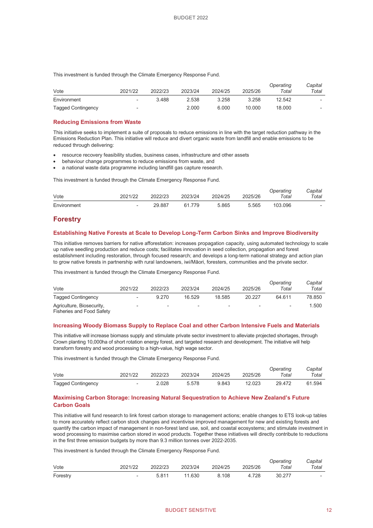This investment is funded through the Climate Emergency Response Fund.

| Vote                      | 2021/22                  | 2022/23 | 2023/24 | 2024/25 | 2025/26 | Operating<br>Total | Capital<br>Total         |
|---------------------------|--------------------------|---------|---------|---------|---------|--------------------|--------------------------|
| Environment               | $\overline{\phantom{a}}$ | 3.488   | 2.538   | 3.258   | 3.258   | 12.542             | $\overline{\phantom{a}}$ |
| <b>Tagged Contingency</b> | $\overline{\phantom{a}}$ |         | 2.000   | 6.000   | 10.000  | 18.000             | $\overline{\phantom{a}}$ |

#### **Reducing Emissions from Waste**

This initiative seeks to implement a suite of proposals to reduce emissions in line with the target reduction pathway in the Emissions Reduction Plan. This initiative will reduce and divert organic waste from landfill and enable emissions to be reduced through delivering:

- resource recovery feasibility studies, business cases, infrastructure and other assets
- behaviour change programmes to reduce emissions from waste, and
- a national waste data programme including landfill gas capture research.

This investment is funded through the Climate Emergency Response Fund.

| Vote        | 2021/22                  | 2022/23 | 2023/24   | 2024/25 | 2025/26 | Operating<br>Total | Capital<br>Total         |
|-------------|--------------------------|---------|-----------|---------|---------|--------------------|--------------------------|
| Environment | $\overline{\phantom{a}}$ | 29.887  | 779<br>61 | 5.865   | 5.565   | 103.096            | $\overline{\phantom{a}}$ |

# **Forestry**

#### **Establishing Native Forests at Scale to Develop Long-Term Carbon Sinks and Improve Biodiversity**

This initiative removes barriers for native afforestation: increases propagation capacity, using automated technology to scale up native seedling production and reduce costs; facilitates innovation in seed collection, propagation and forest establishment including restoration, through focused research; and develops a long-term national strategy and action plan to grow native forests in partnership with rural landowners, iwi/Māori, foresters, communities and the private sector.

This investment is funded through the Climate Emergency Response Fund.

| Vote                                                          | 2021/22                  | 2022/23                  | 2023/24 | 2024/25 | 2025/26                  | Operating<br>Total       | Capital<br>Total |
|---------------------------------------------------------------|--------------------------|--------------------------|---------|---------|--------------------------|--------------------------|------------------|
| Tagged Contingency                                            | ٠                        | 9.270                    | 16.529  | 18.585  | 20.227                   | 64.611                   | 78.850           |
| Agriculture, Biosecurity,<br><b>Fisheries and Food Safety</b> | $\overline{\phantom{a}}$ | $\overline{\phantom{a}}$ | ٠       | ٠       | $\overline{\phantom{0}}$ | $\overline{\phantom{a}}$ | 1.500            |

Fisheries and Food Safety

#### **Increasing Woody Biomass Supply to Replace Coal and other Carbon Intensive Fuels and Materials**

This initiative will increase biomass supply and stimulate private sector investment to alleviate projected shortages, through Crown planting 10,000ha of short rotation energy forest, and targeted research and development. The initiative will help transform forestry and wood processing to a high-value, high wage sector.

This investment is funded through the Climate Emergency Response Fund.

| Vote                      | 2021/22 | 2022/23 | 2023/24 | 2024/25 | 2025/26 | Operating<br>Total | Capital<br>Total |
|---------------------------|---------|---------|---------|---------|---------|--------------------|------------------|
| <b>Tagged Contingency</b> | $\sim$  | 2.028   | 5.578   | 9.843   | 12.023  | 29.472             | 61.594           |

## **Maximising Carbon Storage: Increasing Natural Sequestration to Achieve New Zealand's Future Carbon Goals**

This initiative will fund research to link forest carbon storage to management actions; enable changes to ETS look-up tables to more accurately reflect carbon stock changes and incentivise improved management for new and existing forests and quantify the carbon impact of management in non-forest land use, soil, and coastal ecosystems; and stimulate investment in wood processing to maximise carbon stored in wood products. Together these initiatives will directly contribute to reductions in the first three emission budgets by more than 9.3 million tonnes over 2022-2035.

This investment is funded through the Climate Emergency Response Fund.

| Vote     | 2021/22 | 2022/23 | 2023/24 | 2024/25 | 2025/26 | Operating<br>Total | Capital<br>Total         |
|----------|---------|---------|---------|---------|---------|--------------------|--------------------------|
| Forestry | $\sim$  | 5.811   | 11.630  | 8.108   | 4.728   | 30.277             | $\overline{\phantom{a}}$ |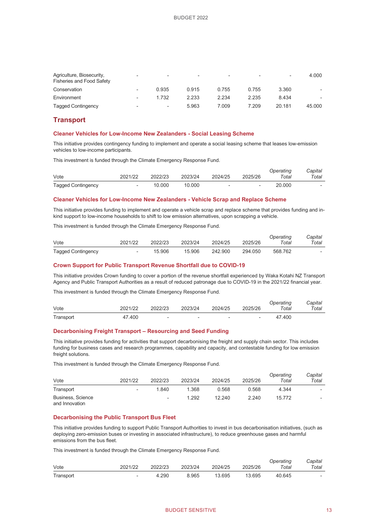| Agriculture, Biosecurity,<br><b>Fisheries and Food Safety</b> | $\overline{\phantom{a}}$ | $\overline{\phantom{a}}$ | $\overline{\phantom{a}}$ | $\overline{\phantom{a}}$ | $\overline{\phantom{a}}$ | $\overline{\phantom{a}}$ | 4.000                    |
|---------------------------------------------------------------|--------------------------|--------------------------|--------------------------|--------------------------|--------------------------|--------------------------|--------------------------|
| Conservation                                                  | ۰                        | 0.935                    | 0.915                    | 0.755                    | 0.755                    | 3.360                    | $\overline{\phantom{a}}$ |
| Environment                                                   | $\overline{\phantom{a}}$ | 1.732                    | 2.233                    | 2.234                    | 2.235                    | 8.434                    | $\overline{\phantom{a}}$ |
| <b>Tagged Contingency</b>                                     | $\overline{\phantom{a}}$ | $\overline{\phantom{a}}$ | 5.963                    | 7.009                    | 7.209                    | 20.181                   | 45.000                   |

# **Transport**

#### **Cleaner Vehicles for Low-Income New Zealanders - Social Leasing Scheme**

This initiative provides contingency funding to implement and operate a social leasing scheme that leases low-emission vehicles to low-income participants.

This investment is funded through the Climate Emergency Response Fund.

| Vote                      | 2021/22                  | 2022/23 | 2023/24 | 2024/25                  | 2025/26 | Operating<br>Total | Capital<br>Total |
|---------------------------|--------------------------|---------|---------|--------------------------|---------|--------------------|------------------|
| <b>Tagged Contingency</b> | $\overline{\phantom{a}}$ | 10.000  | 10.000  | $\overline{\phantom{a}}$ | -       | 20.000             |                  |

#### **Cleaner Vehicles for Low-Income New Zealanders - Vehicle Scrap and Replace Scheme**

This initiative provides funding to implement and operate a vehicle scrap and replace scheme that provides funding and inkind support to low-income households to shift to low emission alternatives, upon scrapping a vehicle.

This investment is funded through the Climate Emergency Response Fund.

| Vote                      | 2021/22                  | 2022/23 | 2023/24 | 2024/25 | 2025/26 | Operating<br>$\tau$ otal | Capital<br>Total         |
|---------------------------|--------------------------|---------|---------|---------|---------|--------------------------|--------------------------|
| <b>Tagged Contingency</b> | $\overline{\phantom{0}}$ | 15.906  | 15.906  | 242.900 | 294.050 | 568.762                  | $\overline{\phantom{a}}$ |

#### **Crown Support for Public Transport Revenue Shortfall due to COVID-19**

This initiative provides Crown funding to cover a portion of the revenue shortfall experienced by Waka Kotahi NZ Transport Agency and Public Transport Authorities as a result of reduced patronage due to COVID-19 in the 2021/22 financial year.

This investment is funded through the Climate Emergency Response Fund.

| Vote      | 2021/22 | 2022/23                  | 2023/24                  | 2024/25                  | 2025/26 | Operating<br>Total | Capital<br>Total |
|-----------|---------|--------------------------|--------------------------|--------------------------|---------|--------------------|------------------|
| Transport | 47.400  | $\overline{\phantom{a}}$ | $\overline{\phantom{0}}$ | $\overline{\phantom{a}}$ |         | 47.400             |                  |

#### **Decarbonising Freight Transport – Resourcing and Seed Funding**

This initiative provides funding for activities that support decarbonising the freight and supply chain sector. This includes funding for business cases and research programmes, capability and capacity, and contestable funding for low emission freight solutions.

This investment is funded through the Climate Emergency Response Fund.

| Vote                                | 2021/22                  | 2022/23                  | 2023/24 | 2024/25 | 2025/26 | Operating<br>Total | Capital<br>Total         |
|-------------------------------------|--------------------------|--------------------------|---------|---------|---------|--------------------|--------------------------|
| Transport                           | $\overline{\phantom{0}}$ | 1.840                    | 1.368   | 0.568   | 0.568   | 4.344              | $\overline{\phantom{a}}$ |
| Business, Science<br>and Innovation |                          | $\overline{\phantom{a}}$ | 1.292   | 12.240  | 2.240   | 15.772             |                          |

#### **Decarbonising the Public Transport Bus Fleet**

This initiative provides funding to support Public Transport Authorities to invest in bus decarbonisation initiatives, (such as deploying zero-emission buses or investing in associated infrastructure), to reduce greenhouse gases and harmful emissions from the bus fleet.

This investment is funded through the Climate Emergency Response Fund.

| Vote      | 2021/22                  | 2022/23 | 2023/24 | 2024/25 | 2025/26 | Operatina<br>Total | Capital<br>Total |
|-----------|--------------------------|---------|---------|---------|---------|--------------------|------------------|
| Transport | $\overline{\phantom{a}}$ | 4.290   | 8.965   | 13.695  | 13.695  | 40.645             | $\,$             |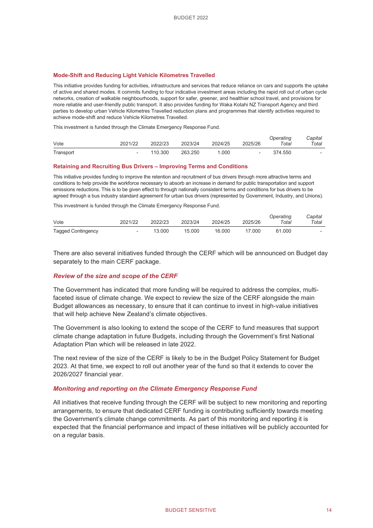#### **Mode-Shift and Reducing Light Vehicle Kilometres Travelled**

This initiative provides funding for activities, infrastructure and services that reduce reliance on cars and supports the uptake of active and shared modes. It commits funding to four indicative investment areas including the rapid roll out of urban cycle networks, creation of walkable neighbourhoods, support for safer, greener, and healthier school travel, and provisions for more reliable and user-friendly public transport. It also provides funding for Waka Kotahi NZ Transport Agency and third parties to develop urban Vehicle Kilometres Travelled reduction plans and programmes that identify activities required to achieve mode-shift and reduce Vehicle Kilometres Travelled.

This investment is funded through the Climate Emergency Response Fund.

| Vote      | 2021/22                  | 2022/23 | 2023/24 | 2024/25 | 2025/26        | Operating<br>Total | Capital<br>Total         |
|-----------|--------------------------|---------|---------|---------|----------------|--------------------|--------------------------|
| Transport | $\overline{\phantom{a}}$ | 110.300 | 263.250 | 1.000   | $\overline{a}$ | 374,550            | $\overline{\phantom{a}}$ |

#### **Retaining and Recruiting Bus Drivers – Improving Terms and Conditions**

This initiative provides funding to improve the retention and recruitment of bus drivers through more attractive terms and conditions to help provide the workforce necessary to absorb an increase in demand for public transportation and support emissions reductions. This is to be given effect to through nationally consistent terms and conditions for bus drivers to be agreed through a bus industry standard agreement for urban bus drivers (represented by Government, Industry, and Unions).

This investment is funded through the Climate Emergency Response Fund.

| Vote                      | 2021/22                  | 2022/23 | 2023/24 | 2024/25 | 2025/26 | Operating<br>Total | Capital<br>Total         |
|---------------------------|--------------------------|---------|---------|---------|---------|--------------------|--------------------------|
| <b>Tagged Contingency</b> | $\overline{\phantom{a}}$ | 13.000  | 15.000  | 16.000  | 17.000  | 61.000             | $\overline{\phantom{a}}$ |

There are also several initiatives funded through the CERF which will be announced on Budget day separately to the main CERF package.

#### *Review of the size and scope of the CERF*

The Government has indicated that more funding will be required to address the complex, multifaceted issue of climate change. We expect to review the size of the CERF alongside the main Budget allowances as necessary, to ensure that it can continue to invest in high-value initiatives that will help achieve New Zealand's climate objectives.

The Government is also looking to extend the scope of the CERF to fund measures that support climate change adaptation in future Budgets, including through the Government's first National Adaptation Plan which will be released in late 2022.

The next review of the size of the CERF is likely to be in the Budget Policy Statement for Budget 2023. At that time, we expect to roll out another year of the fund so that it extends to cover the 2026/2027 financial year.

## *Monitoring and reporting on the Climate Emergency Response Fund*

All initiatives that receive funding through the CERF will be subject to new monitoring and reporting arrangements, to ensure that dedicated CERF funding is contributing sufficiently towards meeting the Government's climate change commitments. As part of this monitoring and reporting it is expected that the financial performance and impact of these initiatives will be publicly accounted for on a regular basis.